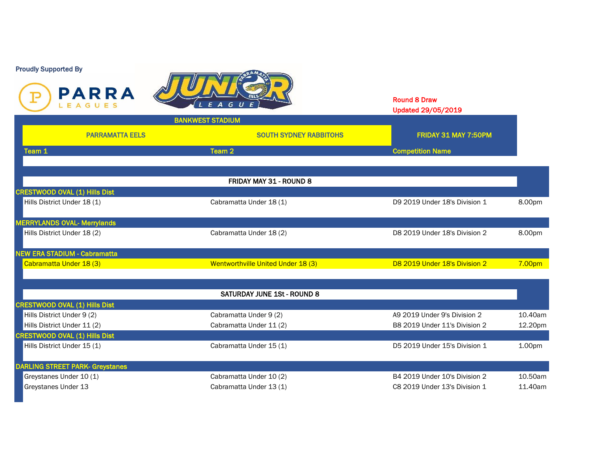



|                                      | <b>AUX 84 74</b><br>LEAGUES | LEAGUE)                            |                               | <b>Round 8 Draw</b><br>Updated 29/05/2019 |                    |
|--------------------------------------|-----------------------------|------------------------------------|-------------------------------|-------------------------------------------|--------------------|
|                                      |                             | <b>BANKWEST STADIUM</b>            |                               |                                           |                    |
|                                      | <b>PARRAMATTA EELS</b>      |                                    | <b>SOUTH SYDNEY RABBITOHS</b> | FRIDAY 31 MAY 7:50PM                      |                    |
| Team 1                               |                             | Team 2                             |                               | <b>Competition Name</b>                   |                    |
|                                      |                             |                                    |                               |                                           |                    |
|                                      |                             | FRIDAY MAY 31 - ROUND 8            |                               |                                           |                    |
| <b>CRESTWOOD OVAL (1) Hills Dist</b> |                             |                                    |                               |                                           |                    |
| Hills District Under 18 (1)          |                             | Cabramatta Under 18 (1)            |                               | D9 2019 Under 18's Division 1             | 8.00pm             |
| <b>MERRYLANDS OVAL- Merrylands</b>   |                             |                                    |                               |                                           |                    |
| Hills District Under 18 (2)          |                             | Cabramatta Under 18 (2)            |                               | D8 2019 Under 18's Division 2             | 8.00pm             |
| <b>NEW ERA STADIUM - Cabramatta</b>  |                             |                                    |                               |                                           |                    |
| Cabramatta Under 18 (3)              |                             | Wentworthville United Under 18 (3) |                               | D8 2019 Under 18's Division 2             | 7.00pm             |
|                                      |                             | SATURDAY JUNE 1St - ROUND 8        |                               |                                           |                    |
| <b>CRESTWOOD OVAL (1) Hills Dist</b> |                             |                                    |                               |                                           |                    |
| Hills District Under 9 (2)           |                             | Cabramatta Under 9 (2)             |                               | A9 2019 Under 9's Division 2              | 10.40am            |
| Hills District Under 11 (2)          |                             | Cabramatta Under 11 (2)            |                               | B8 2019 Under 11's Division 2             | 12.20pm            |
| <b>CRESTWOOD OVAL (1) Hills Dist</b> |                             |                                    |                               |                                           |                    |
| Hills District Under 15 (1)          |                             | Cabramatta Under 15 (1)            |                               | D5 2019 Under 15's Division 1             | 1.00 <sub>pm</sub> |

DARLING STREET PARK- Greystanes Greystanes Under 10 (1) Cabramatta Under 10 (2) B4 2019 Under 10's Division 2 10.50am Greystanes Under 13 **Cabramatta Under 13** (1) Cabramatta Under 13 (1) C8 2019 Under 13's Division 1 11.40am